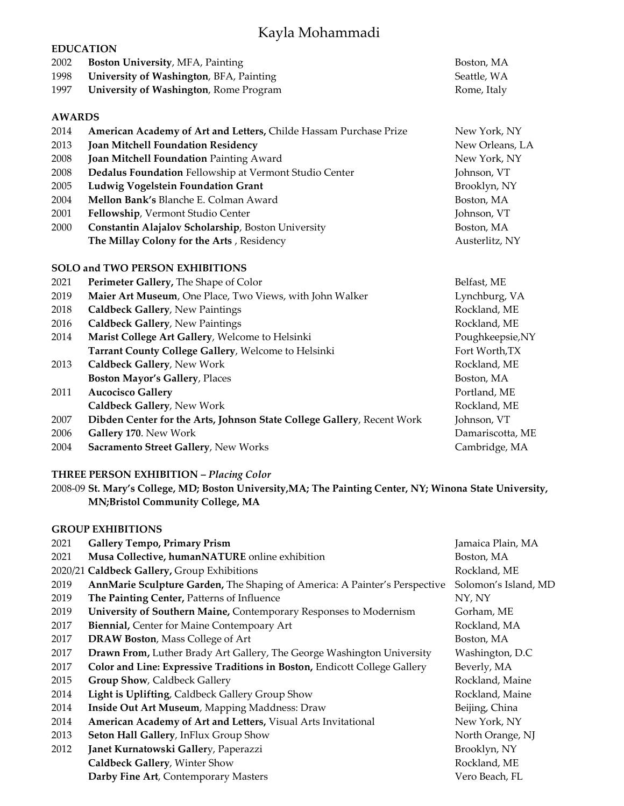# Kayla Mohammadi

| <b>EDUCATION</b> |                                                                        |                  |  |  |  |
|------------------|------------------------------------------------------------------------|------------------|--|--|--|
| 2002             | Boston University, MFA, Painting                                       | Boston, MA       |  |  |  |
| 1998             | University of Washington, BFA, Painting                                | Seattle, WA      |  |  |  |
| 1997             | University of Washington, Rome Program                                 | Rome, Italy      |  |  |  |
|                  |                                                                        |                  |  |  |  |
|                  | <b>AWARDS</b>                                                          |                  |  |  |  |
| 2014             | American Academy of Art and Letters, Childe Hassam Purchase Prize      | New York, NY     |  |  |  |
| 2013             | Joan Mitchell Foundation Residency                                     | New Orleans, LA  |  |  |  |
| 2008             | Joan Mitchell Foundation Painting Award                                | New York, NY     |  |  |  |
| 2008             | Dedalus Foundation Fellowship at Vermont Studio Center                 | Johnson, VT      |  |  |  |
| 2005             | Ludwig Vogelstein Foundation Grant                                     | Brooklyn, NY     |  |  |  |
| 2004             | Mellon Bank's Blanche E. Colman Award                                  | Boston, MA       |  |  |  |
| 2001             | Fellowship, Vermont Studio Center                                      | Johnson, VT      |  |  |  |
| 2000             | Constantin Alajalov Scholarship, Boston University                     | Boston, MA       |  |  |  |
|                  | The Millay Colony for the Arts, Residency                              | Austerlitz, NY   |  |  |  |
|                  | <b>SOLO and TWO PERSON EXHIBITIONS</b>                                 |                  |  |  |  |
| 2021             | Perimeter Gallery, The Shape of Color                                  | Belfast, ME      |  |  |  |
| 2019             | Maier Art Museum, One Place, Two Views, with John Walker               | Lynchburg, VA    |  |  |  |
| 2018             | <b>Caldbeck Gallery, New Paintings</b>                                 | Rockland, ME     |  |  |  |
| 2016             | <b>Caldbeck Gallery, New Paintings</b>                                 | Rockland, ME     |  |  |  |
| 2014             | Marist College Art Gallery, Welcome to Helsinki                        | Poughkeepsie, NY |  |  |  |
|                  | Tarrant County College Gallery, Welcome to Helsinki                    | Fort Worth, TX   |  |  |  |
| 2013             | Caldbeck Gallery, New Work                                             | Rockland, ME     |  |  |  |
|                  | Boston Mayor's Gallery, Places                                         | Boston, MA       |  |  |  |
| 2011             | <b>Aucocisco Gallery</b>                                               | Portland, ME     |  |  |  |
|                  | Caldbeck Gallery, New Work                                             | Rockland, ME     |  |  |  |
| 2007             | Dibden Center for the Arts, Johnson State College Gallery, Recent Work | Johnson, VT      |  |  |  |
| 2006             | Gallery 170. New Work                                                  | Damariscotta, ME |  |  |  |
| 2004             | Sacramento Street Gallery, New Works                                   | Cambridge, MA    |  |  |  |

# **THREE PERSON EXHIBITION –** *Placing Color*

2008-09 **St. Mary's College, MD; Boston University,MA; The Painting Center, NY; Winona State University, MN;Bristol Community College, MA**

# **GROUP EXHIBITIONS**

| 2021 | <b>Gallery Tempo, Primary Prism</b>                                        | Jamaica Plain, MA    |
|------|----------------------------------------------------------------------------|----------------------|
| 2021 | Musa Collective, humanNATURE online exhibition                             | Boston, MA           |
|      | 2020/21 Caldbeck Gallery, Group Exhibitions                                | Rockland, ME         |
| 2019 | AnnMarie Sculpture Garden, The Shaping of America: A Painter's Perspective | Solomon's Island, MD |
| 2019 | The Painting Center, Patterns of Influence                                 | NY, NY               |
| 2019 | University of Southern Maine, Contemporary Responses to Modernism          | Gorham, ME           |
| 2017 | Biennial, Center for Maine Contempoary Art                                 | Rockland, MA         |
| 2017 | <b>DRAW Boston, Mass College of Art</b>                                    | Boston, MA           |
| 2017 | Drawn From, Luther Brady Art Gallery, The George Washington University     | Washington, D.C      |
| 2017 | Color and Line: Expressive Traditions in Boston, Endicott College Gallery  | Beverly, MA          |
| 2015 | Group Show, Caldbeck Gallery                                               | Rockland, Maine      |
| 2014 | Light is Uplifting, Caldbeck Gallery Group Show                            | Rockland, Maine      |
| 2014 | Inside Out Art Museum, Mapping Maddness: Draw                              | Beijing, China       |
| 2014 | American Academy of Art and Letters, Visual Arts Invitational              | New York, NY         |
| 2013 | Seton Hall Gallery, InFlux Group Show                                      | North Orange, NJ     |
| 2012 | Janet Kurnatowski Gallery, Paperazzi                                       | Brooklyn, NY         |
|      | Caldbeck Gallery, Winter Show                                              | Rockland, ME         |
|      | Darby Fine Art, Contemporary Masters                                       | Vero Beach, FL       |
|      |                                                                            |                      |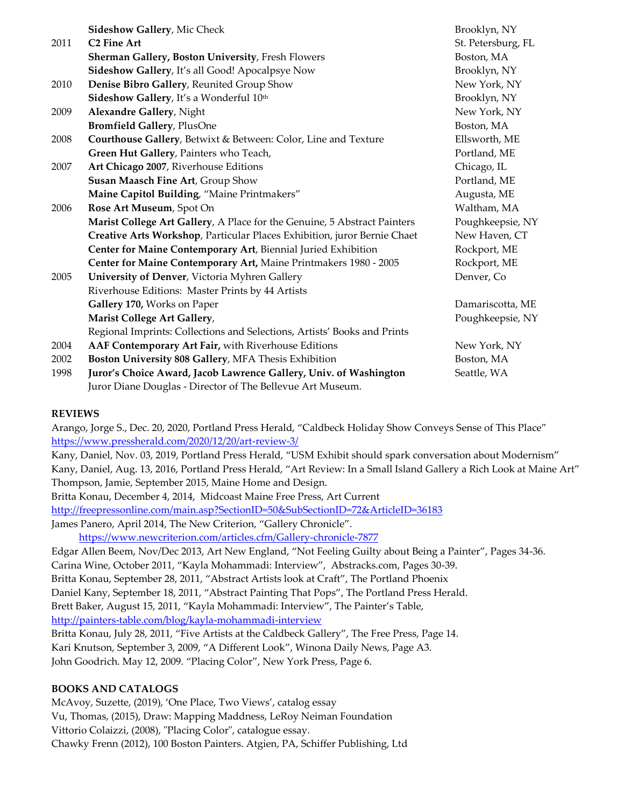|      | <b>Sideshow Gallery, Mic Check</b>                                       | Brooklyn, NY       |
|------|--------------------------------------------------------------------------|--------------------|
| 2011 | <b>C2 Fine Art</b>                                                       | St. Petersburg, FL |
|      | <b>Sherman Gallery, Boston University, Fresh Flowers</b>                 | Boston, MA         |
|      | Sideshow Gallery, It's all Good! Apocalpsye Now                          | Brooklyn, NY       |
| 2010 | Denise Bibro Gallery, Reunited Group Show                                | New York, NY       |
|      | Sideshow Gallery, It's a Wonderful 10th                                  | Brooklyn, NY       |
| 2009 | <b>Alexandre Gallery, Night</b>                                          | New York, NY       |
|      | <b>Bromfield Gallery</b> , PlusOne                                       | Boston, MA         |
| 2008 | Courthouse Gallery, Betwixt & Between: Color, Line and Texture           | Ellsworth, ME      |
|      | Green Hut Gallery, Painters who Teach,                                   | Portland, ME       |
| 2007 | Art Chicago 2007, Riverhouse Editions                                    | Chicago, IL        |
|      | Susan Maasch Fine Art, Group Show                                        | Portland, ME       |
|      | Maine Capitol Building, "Maine Printmakers"                              | Augusta, ME        |
| 2006 | Rose Art Museum, Spot On                                                 | Waltham, MA        |
|      | Marist College Art Gallery, A Place for the Genuine, 5 Abstract Painters | Poughkeepsie, NY   |
|      | Creative Arts Workshop, Particular Places Exhibition, juror Bernie Chaet | New Haven, CT      |
|      | Center for Maine Contemporary Art, Biennial Juried Exhibition            | Rockport, ME       |
|      | Center for Maine Contemporary Art, Maine Printmakers 1980 - 2005         | Rockport, ME       |
| 2005 | University of Denver, Victoria Myhren Gallery                            | Denver, Co         |
|      | Riverhouse Editions: Master Prints by 44 Artists                         |                    |
|      | Gallery 170, Works on Paper                                              | Damariscotta, ME   |
|      | Marist College Art Gallery,                                              | Poughkeepsie, NY   |
|      | Regional Imprints: Collections and Selections, Artists' Books and Prints |                    |
| 2004 | AAF Contemporary Art Fair, with Riverhouse Editions                      | New York, NY       |
| 2002 | Boston University 808 Gallery, MFA Thesis Exhibition                     | Boston, MA         |
| 1998 | Juror's Choice Award, Jacob Lawrence Gallery, Univ. of Washington        | Seattle, WA        |
|      | Juror Diane Douglas - Director of The Bellevue Art Museum.               |                    |

#### **REVIEWS**

Arango, Jorge S., Dec. 20, 2020, Portland Press Herald, "Caldbeck Holiday Show Conveys Sense of This Place" <https://www.pressherald.com/2020/12/20/art-review-3/>

Kany, Daniel, Nov. 03, 2019, Portland Press Herald, "USM Exhibit should spark conversation about Modernism" Kany, Daniel, Aug. 13, 2016, Portland Press Herald, "Art Review: In a Small Island Gallery a Rich Look at Maine Art" Thompson, Jamie, September 2015, Maine Home and Design.

Britta Konau, December 4, 2014, Midcoast Maine Free Press, Art Current <http://freepressonline.com/main.asp?SectionID=50&SubSectionID=72&ArticleID=36183> James Panero, April 2014, The New Criterion, "Gallery Chronicle".

<https://www.newcriterion.com/articles.cfm/Gallery-chronicle-7877>

Edgar Allen Beem, Nov/Dec 2013, Art New England, "Not Feeling Guilty about Being a Painter", Pages 34-36. Carina Wine, October 2011, "Kayla Mohammadi: Interview", Abstracks.com, Pages 30-39. Britta Konau, September 28, 2011, "Abstract Artists look at Craft", The Portland Phoenix Daniel Kany, September 18, 2011, "Abstract Painting That Pops", The Portland Press Herald. Brett Baker, August 15, 2011, "Kayla Mohammadi: Interview", The Painter's Table, <http://painters-table.com/blog/kayla-mohammadi-interview> Britta Konau, July 28, 2011, "Five Artists at the Caldbeck Gallery", The Free Press, Page 14. Kari Knutson, September 3, 2009, "A Different Look", Winona Daily News, Page A3. John Goodrich. May 12, 2009. "Placing Color", New York Press, Page 6.

#### **BOOKS AND CATALOGS**

McAvoy, Suzette, (2019), 'One Place, Two Views', catalog essay Vu, Thomas, (2015), Draw: Mapping Maddness, LeRoy Neiman Foundation Vittorio Colaizzi, (2008), "Placing Color", catalogue essay. Chawky Frenn (2012), 100 Boston Painters. Atgien, PA, Schiffer Publishing, Ltd